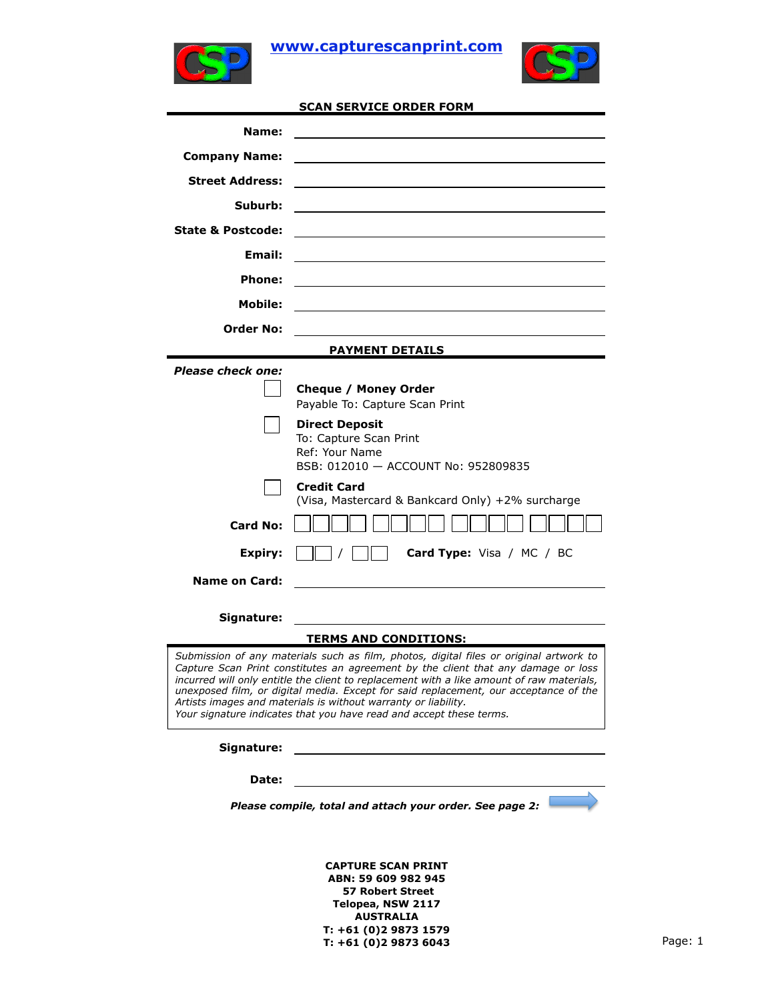

**www.capturescanprint.com**



| SCAN SERVICE ORDER FORM |  |
|-------------------------|--|
|-------------------------|--|

| Name:                        |                                                                                                                                                                             |
|------------------------------|-----------------------------------------------------------------------------------------------------------------------------------------------------------------------------|
| <b>Company Name:</b>         |                                                                                                                                                                             |
| <b>Street Address:</b>       |                                                                                                                                                                             |
| Suburb:                      |                                                                                                                                                                             |
| <b>State &amp; Postcode:</b> |                                                                                                                                                                             |
| Email:                       |                                                                                                                                                                             |
| <b>Phone:</b>                |                                                                                                                                                                             |
| Mobile:                      |                                                                                                                                                                             |
| <b>Order No:</b>             |                                                                                                                                                                             |
|                              | <b>PAYMENT DETAILS</b>                                                                                                                                                      |
| <b>Please check one:</b>     |                                                                                                                                                                             |
|                              | Cheque / Money Order                                                                                                                                                        |
|                              | Payable To: Capture Scan Print                                                                                                                                              |
|                              | <b>Direct Deposit</b>                                                                                                                                                       |
|                              | To: Capture Scan Print                                                                                                                                                      |
|                              | Ref: Your Name                                                                                                                                                              |
|                              | BSB: 012010 - ACCOUNT No: 952809835                                                                                                                                         |
|                              | <b>Credit Card</b><br>(Visa, Mastercard & Bankcard Only) +2% surcharge                                                                                                      |
| <b>Card No:</b>              |                                                                                                                                                                             |
|                              |                                                                                                                                                                             |
| Expiry:                      | <b>Card Type:</b> Visa / MC / BC                                                                                                                                            |
| <b>Name on Card:</b>         |                                                                                                                                                                             |
|                              |                                                                                                                                                                             |
| Signature:                   |                                                                                                                                                                             |
|                              | <b>TERMS AND CONDITIONS:</b>                                                                                                                                                |
|                              | Submission of any materials such as film, photos, digital files or original artwork to<br>Capture Scan Print constitutes an agreement by the client that any damage or loss |
|                              | incurred will only entitle the client to replacement with a like amount of raw materials,                                                                                   |
|                              | unexposed film, or digital media. Except for said replacement, our acceptance of the<br>Artists images and materials is without warranty or liability.                      |
|                              | Your signature indicates that you have read and accept these terms.                                                                                                         |
| Signature:                   |                                                                                                                                                                             |
|                              |                                                                                                                                                                             |
| Date:                        |                                                                                                                                                                             |
|                              | Please compile, total and attach your order. See page 2:                                                                                                                    |
|                              |                                                                                                                                                                             |
|                              |                                                                                                                                                                             |
|                              | <b>CAPTURE SCAN PRINT</b>                                                                                                                                                   |

**CAPTURE SCAN PRINT ABN: 59 609 982 945 57 Robert Street Telopea, NSW 2117 AUSTRALIA T: +61 (0)2 9873 1579 T: +61 (0)2 9873 6043** Page: 1